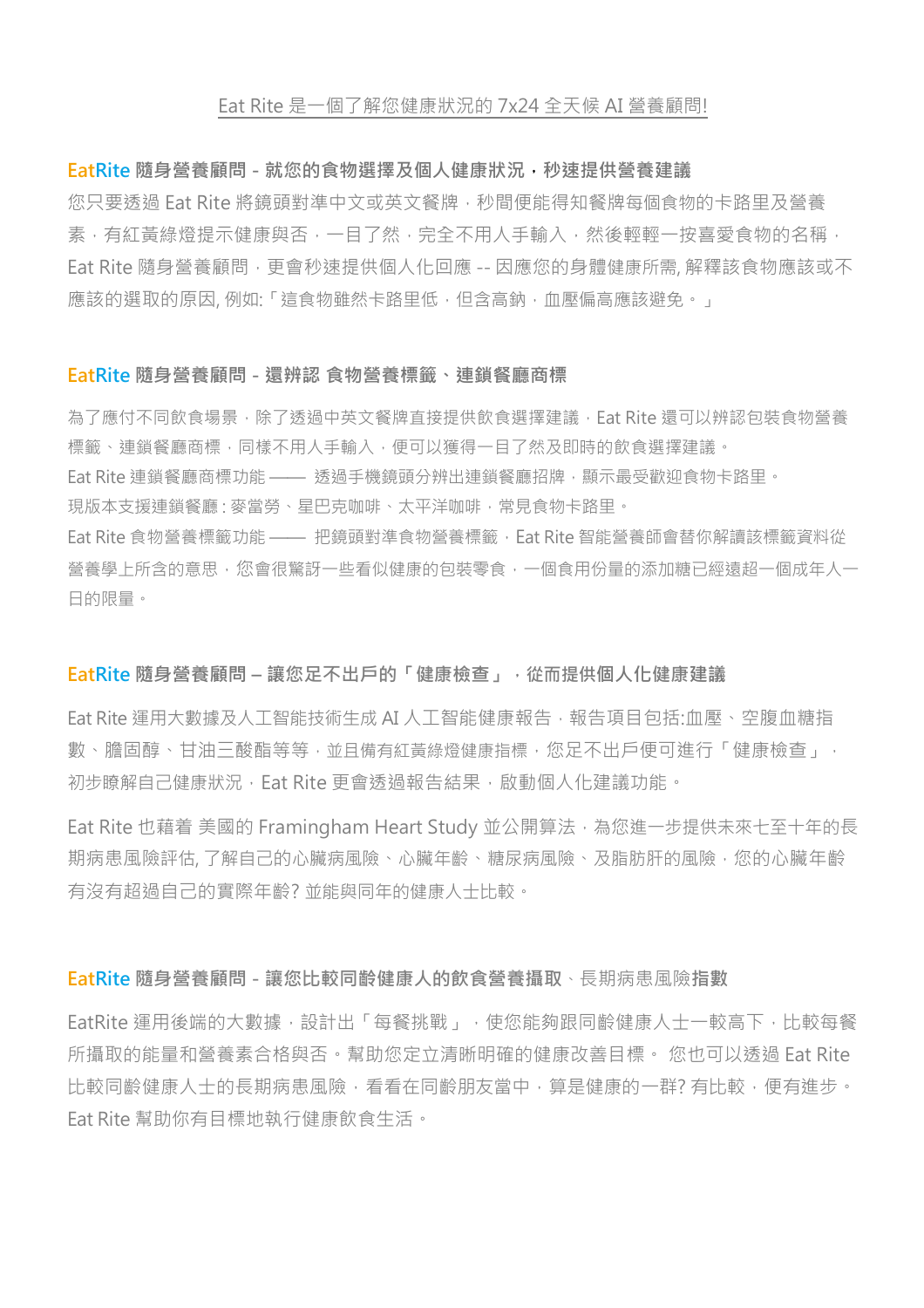#### Eat Rite 是一個了解您健康狀況的 7x24 全天候 AI 營養顧問!

#### **EatRite 隨身營養顧問 - 就您的食物選擇及個人健康狀況,秒速提供營養建議**

您只要透過 Eat Rite 將鏡頭對準中文或英文餐牌,秒間便能得知餐牌每個食物的卡路里及營養 素,有紅黃綠燈提示健康與否,一目了然,完全不用人手輸入,然後輕輕一按喜愛食物的名稱, Eat Rite 隨身營養顧問,更會秒速提供個人化回應 -- 因應您的身體健康所需,解釋該食物應該或不 應該的選取的原因, 例如:「這食物雖然卡路里低, 但含高鈉, 血壓偏高應該避免。」

#### **EatRite 隨身營養顧問 - 還辨認 食物營養標籤、連鎖餐廳商標**

為了應付不同飲食場景,除了透過中英文餐牌直接提供飲食選擇建議,Eat Rite 還可以辨認包裝食物營養 標籤、連鎖餐廳商標,同樣不用人手輸入,便可以獲得一目了然及即時的飲食選擇建議。 Eat Rite 連鎖餐廳商標功能 —— 透過手機鏡頭分辨出連鎖餐廳招牌,顯示最受歡迎食物卡路里。 現版本支援連鎖餐廳: 麥當勞、星巴克咖啡、太平洋咖啡, 常見食物卡路里。 Eat Rite 食物營養標籤功能 —— 把鏡頭對準食物營養標籤,Eat Rite 智能營養師會替你解讀該標籤資料從 營養學上所含的意思,您會很驚訝一些看似健康的包裝零食,一個食用份量的添加糖已經遠超一個成年人一 日的限量。

#### **EatRite 隨身營養顧問 – 讓您足不出戶的「健康檢查」,從而提供個人化健康建議**

Eat Rite 運用大數據及人工智能技術生成 AI 人工智能健康報告,報告項目包括:血壓、空腹血糖指 數、膽固醇、甘油三酸酯等等,並且備有紅黃綠燈健康指標,您足不出戶便可進行「健康檢查」, 初步瞭解自己健康狀況, Eat Rite 更會诱過報告結果, 啟動個人化建議功能。

Eat Rite 也藉着 美國的 Framingham Heart Study 並公開算法,為您進一步提供未來七至十年的長 期病患風險評估, 了解自己的心臟病風險、心臟年齡、糖尿病風險、及脂肪肝的風險,您的心臟年齡 有沒有超過自己的實際年齡? 並能與同年的健康人士比較。

#### **EatRite 隨身營養顧問 - 讓您比較同齡健康人的飲食營養攝取**、長期病患風險**指數**

EatRite 運用後端的大數據,設計出「每餐挑戰」,使您能夠跟同齡健康人士一較高下,比較每餐 所攝取的能量和營養素合格與否。幫助您定立清晰明確的健康改善目標。 您也可以透過 Eat Rite 比較同齡健康人士的長期病患風險,看看在同齡朋友當中,算是健康的一群? 有比較,便有進步。 Eat Rite 幫助你有目標地執行健康飲食生活。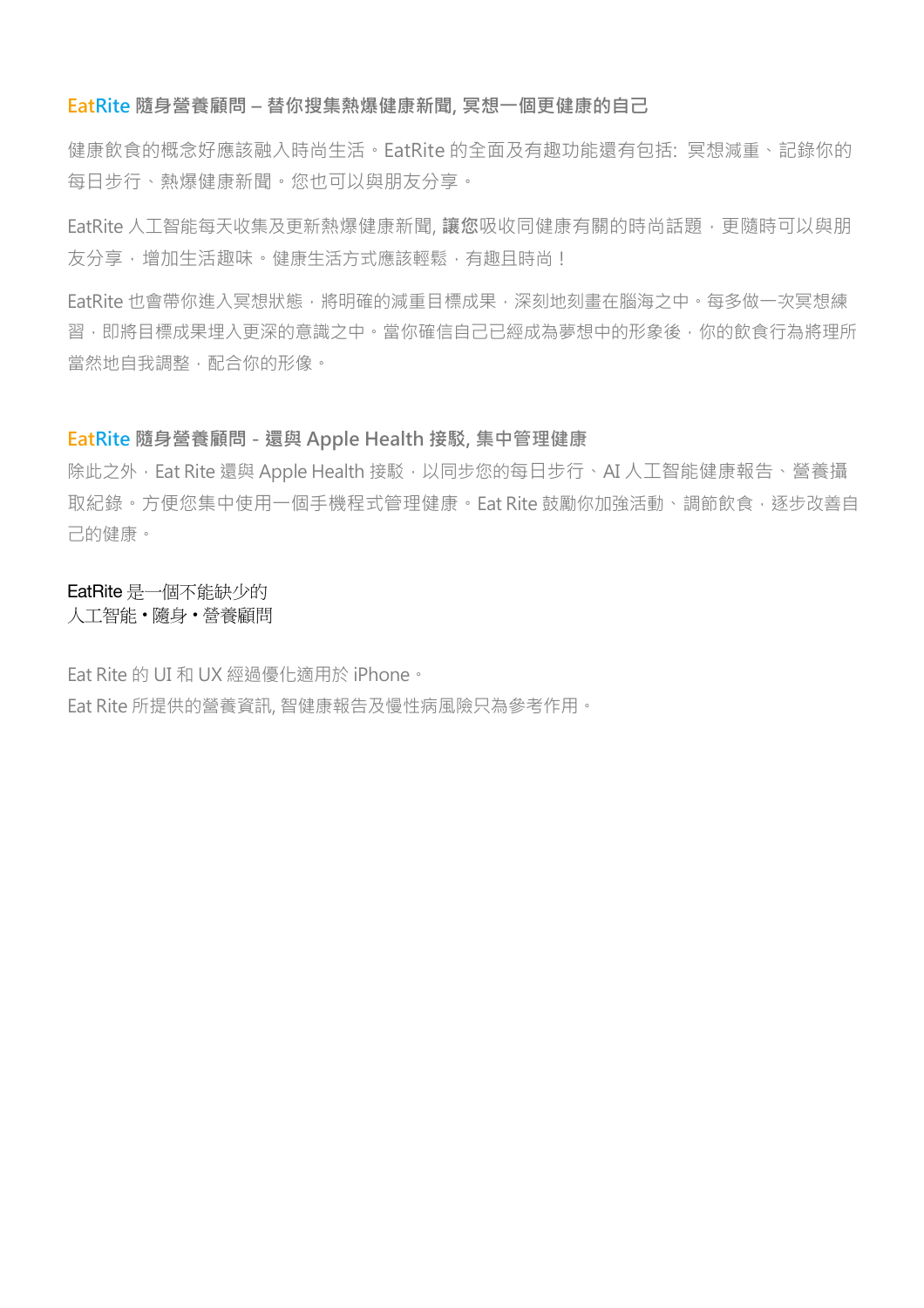#### **EatRite 隨身營養顧問 – 替你搜集熱爆健康新聞, 冥想一個更健康的自己**

健康飲食的概念好應該融入時尚生活。EatRite 的全面及有趣功能還有包括: 冥想減重、記錄你的 每日步行、熱爆健康新聞。您也可以與朋友分享。

EatRite 人工智能每天收集及更新熱爆健康新聞, **讓您**吸收同健康有關的時尚話題,更隨時可以與朋 友分享,增加生活趣味。健康生活方式應該輕鬆,有趣且時尚!

EatRite 也會帶你進入冥想狀態,將明確的減重目標成果,深刻地刻書在腦海之中。每多做一次冥想練 習,即將目標成果埋入更深的意識之中。當你確信自己已經成為夢想中的形象後,你的飲食行為將理所 當然地自我調整,配合你的形像。

### **EatRite 隨身營養顧問 - 還與 Apple Health 接駁, 集中管理健康**

除此之外,Eat Rite 還與 Apple Health 接駁,以同步您的每日步行、AI 人工智能健康報告、營養攝 取紀錄。方便您集中使用一個手機程式管理健康。Eat Rite 鼓勵你加強活動、調節飲食,逐步改善自 己的健康。

EatRite 是一個不能缺少的 人工智能 • 隨身 • 營養顧問

Eat Rite 的 UI 和 UX 經過優化適用於 iPhone。 Eat Rite 所提供的營養資訊, 智健康報告及慢性病風險只為參考作用。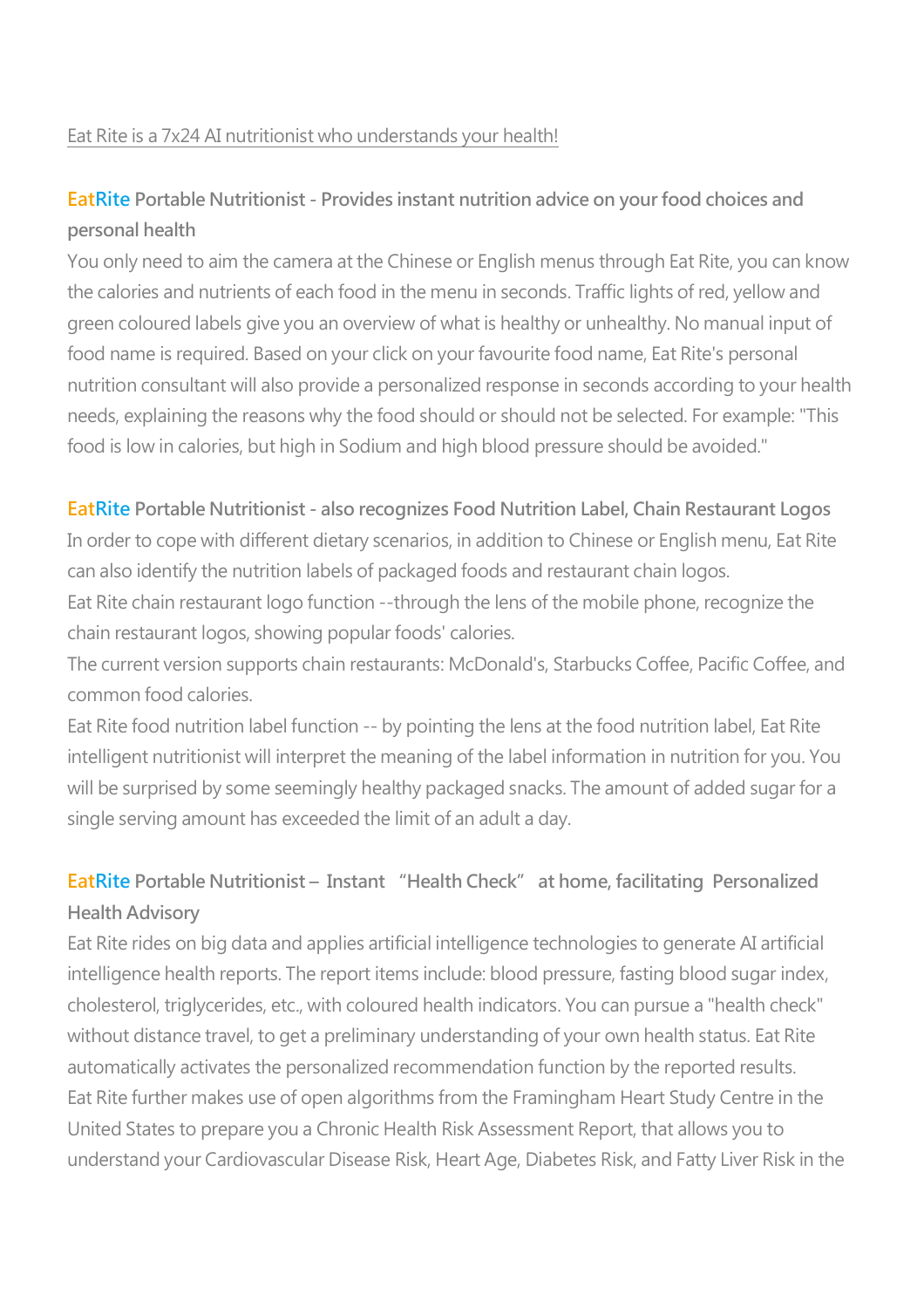### Eat Rite is a 7x24 AI nutritionist who understands your health!

### **EatRite Portable Nutritionist - Provides instant nutrition advice on your food choices and personal health**

You only need to aim the camera at the Chinese or English menus through Eat Rite, you can know the calories and nutrients of each food in the menu in seconds. Traffic lights of red, yellow and green coloured labels give you an overview of what is healthy or unhealthy. No manual input of food name is required. Based on your click on your favourite food name, Eat Rite's personal nutrition consultant will also provide a personalized response in seconds according to your health needs, explaining the reasons why the food should or should not be selected. For example: "This food is low in calories, but high in Sodium and high blood pressure should be avoided."

### **EatRite Portable Nutritionist - also recognizes Food Nutrition Label, Chain Restaurant Logos**

In order to cope with different dietary scenarios, in addition to Chinese or English menu, Eat Rite can also identify the nutrition labels of packaged foods and restaurant chain logos.

Eat Rite chain restaurant logo function --through the lens of the mobile phone, recognize the chain restaurant logos, showing popular foods' calories.

The current version supports chain restaurants: McDonald's, Starbucks Coffee, Pacific Coffee, and common food calories.

Eat Rite food nutrition label function -- by pointing the lens at the food nutrition label, Eat Rite intelligent nutritionist will interpret the meaning of the label information in nutrition for you. You will be surprised by some seemingly healthy packaged snacks. The amount of added sugar for a single serving amount has exceeded the limit of an adult a day.

## **EatRite Portable Nutritionist – Instant "Health Check" at home, facilitating Personalized Health Advisory**

Eat Rite rides on big data and applies artificial intelligence technologies to generate AI artificial intelligence health reports. The report items include: blood pressure, fasting blood sugar index, cholesterol, triglycerides, etc., with coloured health indicators. You can pursue a "health check" without distance travel, to get a preliminary understanding of your own health status. Eat Rite automatically activates the personalized recommendation function by the reported results. Eat Rite further makes use of open algorithms from the Framingham Heart Study Centre in the United States to prepare you a Chronic Health Risk Assessment Report, that allows you to understand your Cardiovascular Disease Risk, Heart Age, Diabetes Risk, and Fatty Liver Risk in the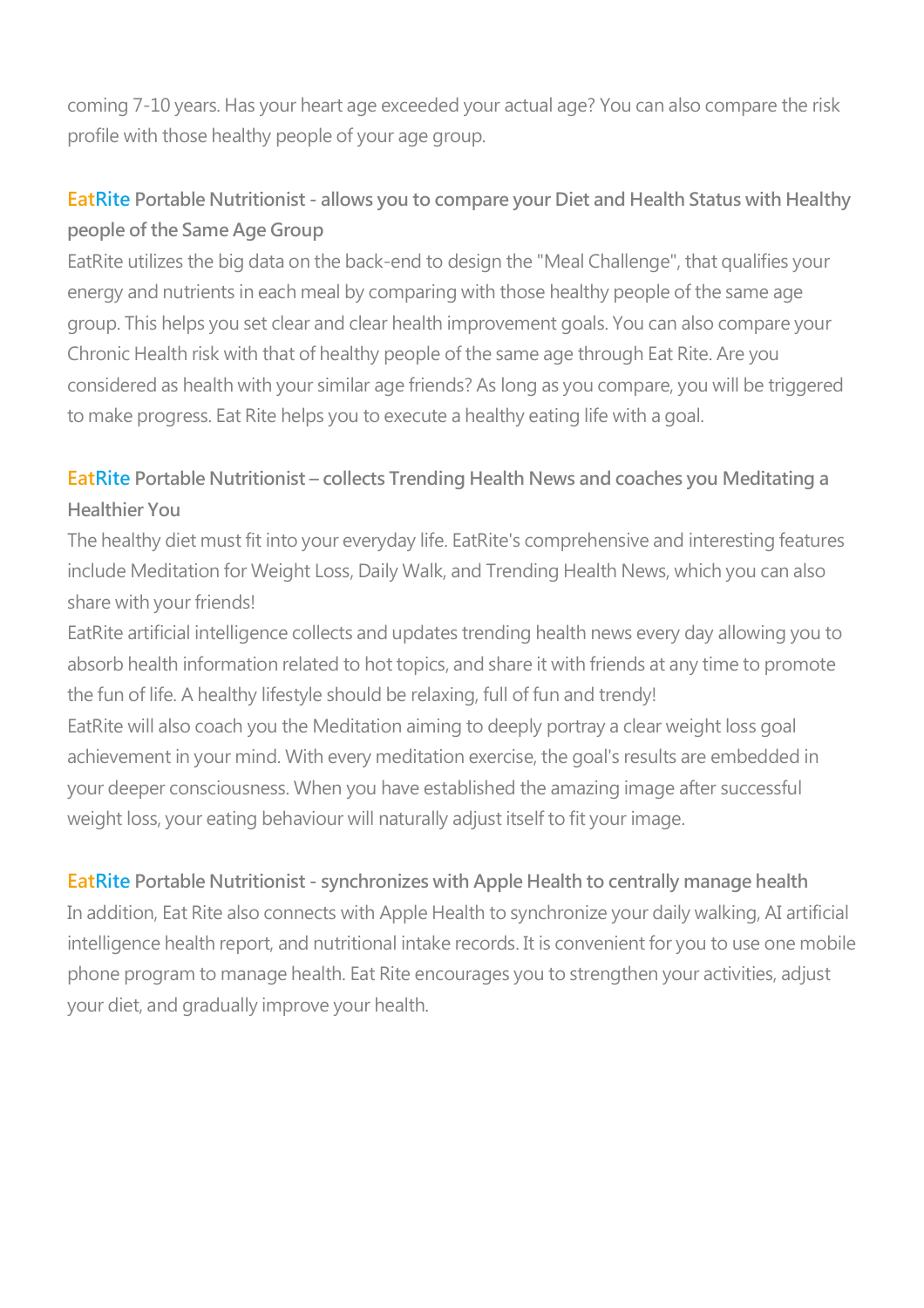coming 7-10 years. Has your heart age exceeded your actual age? You can also compare the risk profile with those healthy people of your age group.

## **EatRite Portable Nutritionist - allows you to compare your Diet and Health Status with Healthy people of the Same Age Group**

EatRite utilizes the big data on the back-end to design the "Meal Challenge", that qualifies your energy and nutrients in each meal by comparing with those healthy people of the same age group. This helps you set clear and clear health improvement goals. You can also compare your Chronic Health risk with that of healthy people of the same age through Eat Rite. Are you considered as health with your similar age friends? As long as you compare, you will be triggered to make progress. Eat Rite helps you to execute a healthy eating life with a goal.

# **EatRite Portable Nutritionist – collects Trending Health News and coaches you Meditating a Healthier You**

The healthy diet must fit into your everyday life. EatRite's comprehensive and interesting features include Meditation for Weight Loss, Daily Walk, and Trending Health News, which you can also share with your friends!

EatRite artificial intelligence collects and updates trending health news every day allowing you to absorb health information related to hot topics, and share it with friends at any time to promote the fun of life. A healthy lifestyle should be relaxing, full of fun and trendy!

EatRite will also coach you the Meditation aiming to deeply portray a clear weight loss goal achievement in your mind. With every meditation exercise, the goal's results are embedded in your deeper consciousness. When you have established the amazing image after successful weight loss, your eating behaviour will naturally adjust itself to fit your image.

### **EatRite Portable Nutritionist - synchronizes with Apple Health to centrally manage health**

In addition, Eat Rite also connects with Apple Health to synchronize your daily walking, AI artificial intelligence health report, and nutritional intake records. It is convenient for you to use one mobile phone program to manage health. Eat Rite encourages you to strengthen your activities, adjust your diet, and gradually improve your health.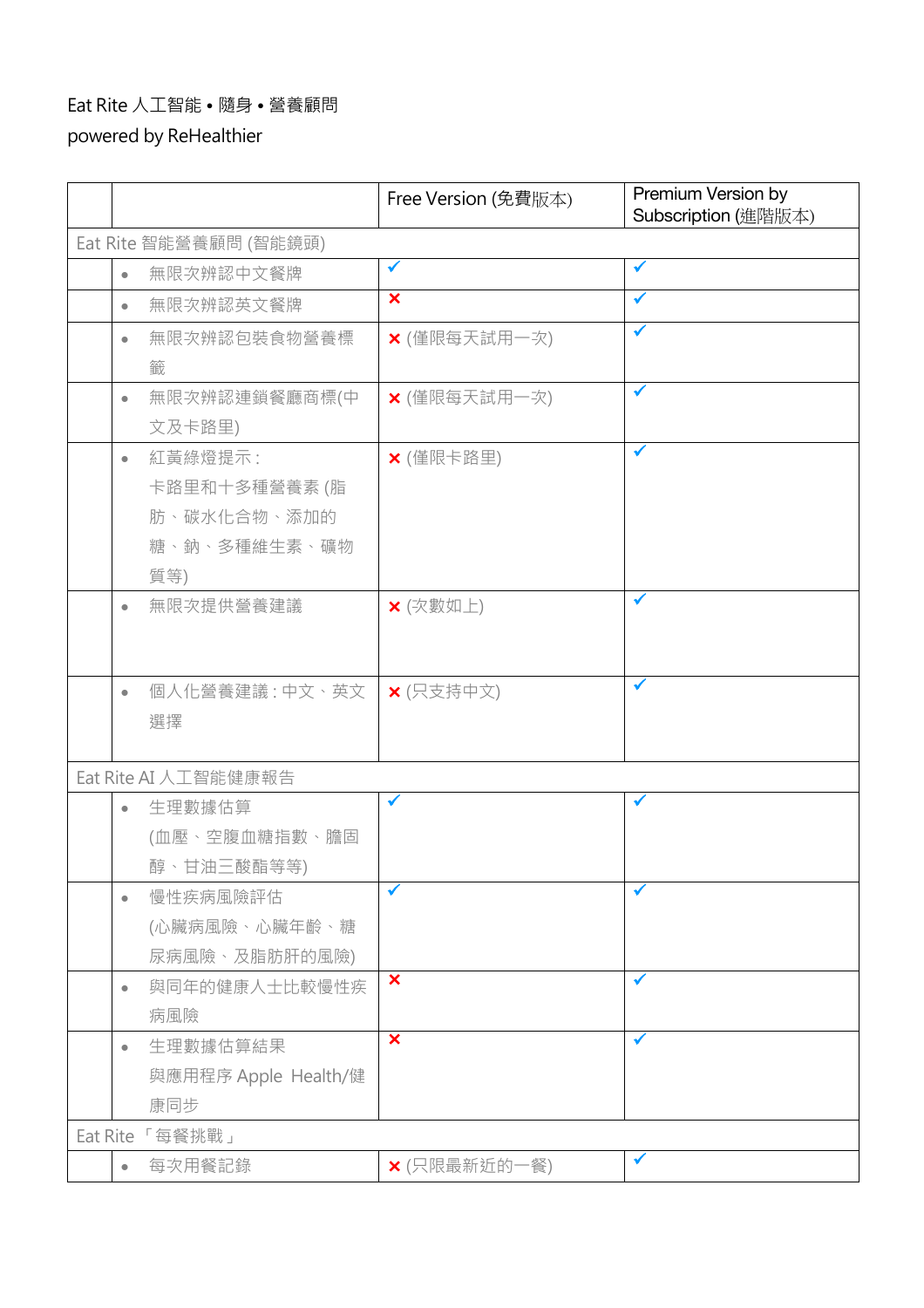## Eat Rite 人工智能 • 隨身 • 營養顧問

powered by ReHealthier

|                        |           |                      | Free Version (免費版本)     | Premium Version by<br>Subscription (進階版本) |  |
|------------------------|-----------|----------------------|-------------------------|-------------------------------------------|--|
| Eat Rite 智能營養顧問 (智能鏡頭) |           |                      |                         |                                           |  |
|                        | $\bullet$ | 無限次辨認中文餐牌            | ✔                       | $\checkmark$                              |  |
|                        | $\bullet$ | 無限次辨認英文餐牌            | $\overline{\mathbf{x}}$ | ✓                                         |  |
|                        | $\bullet$ | 無限次辨認包裝食物營養標         | × (僅限每天試用一次)            | ✔                                         |  |
|                        |           | 籤                    |                         |                                           |  |
|                        | $\bullet$ | 無限次辨認連鎖餐廳商標(中        | × (僅限每天試用一次)            | ✔                                         |  |
|                        |           | 文及卡路里)               |                         |                                           |  |
|                        | $\bullet$ | 紅黃綠燈提示:              | × (僅限卡路里)               | ✔                                         |  |
|                        |           | 卡路里和十多種營養素 (脂        |                         |                                           |  |
|                        |           | 肪、碳水化合物、添加的          |                         |                                           |  |
|                        |           | 糖、鈉、多種維生素、礦物         |                         |                                           |  |
|                        |           | 質等)                  |                         |                                           |  |
|                        | $\bullet$ | 無限次提供營養建議            | × (次數如上)                |                                           |  |
|                        |           |                      |                         |                                           |  |
|                        |           |                      |                         | ✔                                         |  |
|                        | $\bullet$ | 個人化營養建議 : 中文、英文      | <b>×</b> (只支持中文)        |                                           |  |
|                        |           | 選擇                   |                         |                                           |  |
|                        |           | Eat Rite AI 人工智能健康報告 |                         |                                           |  |
|                        | $\bullet$ | 生理數據估算               | √                       |                                           |  |
|                        |           | (血壓、空腹血糖指數、膽固        |                         |                                           |  |
|                        |           | 醇、甘油三酸酯等等)           |                         |                                           |  |
|                        | $\bullet$ | 慢性疾病風險評估             |                         |                                           |  |
|                        |           | (心臟病風險、心臟年齡、糖        |                         |                                           |  |
|                        |           | 尿病風險、及脂肪肝的風險)        |                         |                                           |  |
|                        | $\bullet$ | 與同年的健康人士比較慢性疾        | $\overline{\mathbf{x}}$ |                                           |  |
|                        |           | 病風險                  |                         |                                           |  |
|                        | $\bullet$ | 生理數據估算結果             | $\overline{\mathbf{x}}$ | ✔                                         |  |
|                        |           | 與應用程序 Apple Health/健 |                         |                                           |  |
|                        |           | 康同步                  |                         |                                           |  |
|                        |           | Eat Rite「每餐挑戰」       |                         |                                           |  |
|                        | $\bullet$ | 每次用餐記錄               | ×(只限最新近的一餐)             | $\checkmark$                              |  |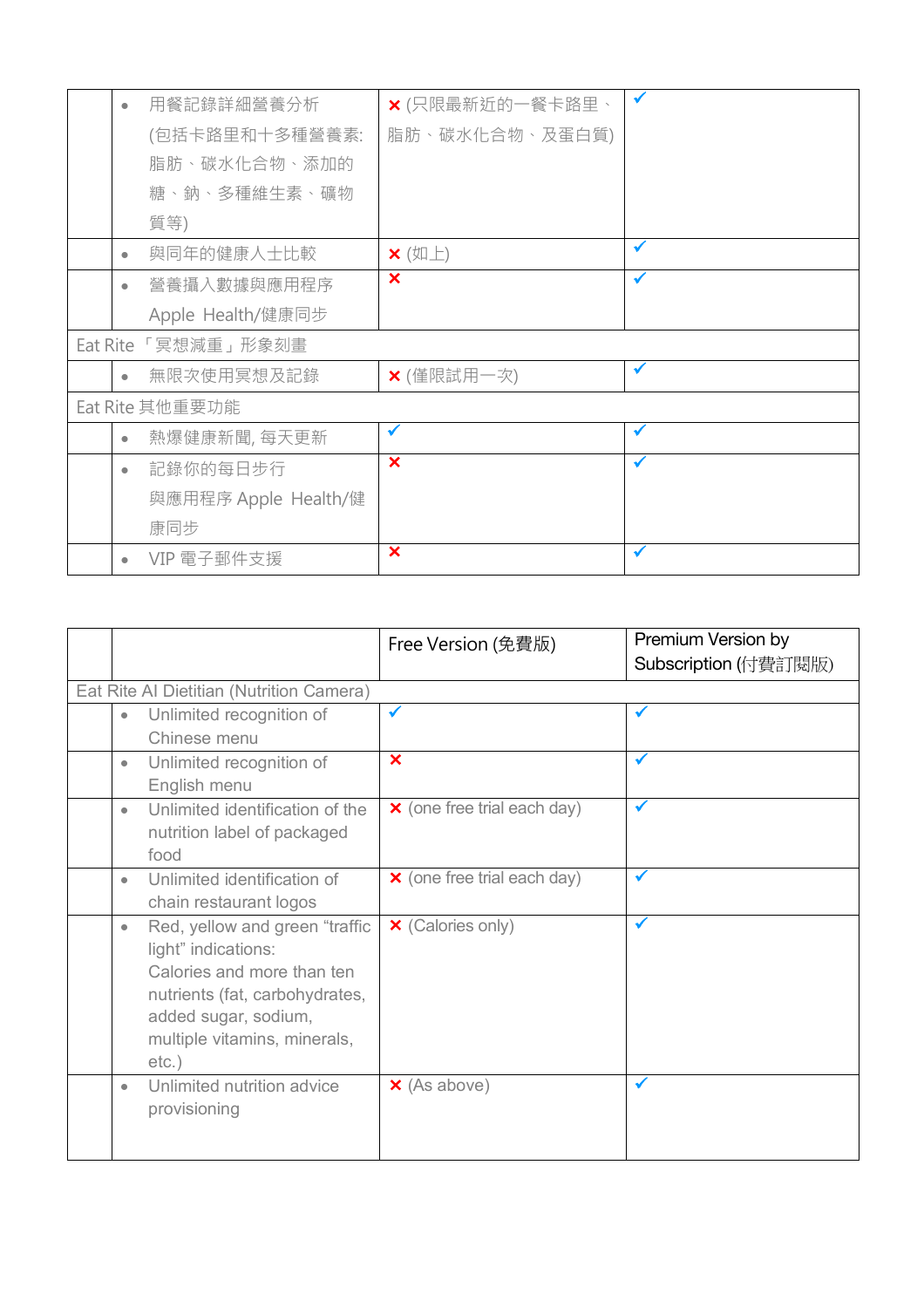|                    | $\bullet$ | 用餐記錄詳細營養分析           | X (只限最新近的一餐卡路里、       |              |
|--------------------|-----------|----------------------|-----------------------|--------------|
|                    |           | (包括卡路里和十多種營養素:       | 脂肪、碳水化合物、及蛋白質)        |              |
|                    |           | 脂肪、碳水化合物、添加的         |                       |              |
|                    |           | 糖、鈉、多種維生素、礦物         |                       |              |
|                    |           | 質等)                  |                       |              |
|                    | $\bullet$ | 與同年的健康人士比較           | $\mathsf{x}$ (如上)     | ✔            |
|                    | $\bullet$ | 營養攝入數據與應用程序          | $\boldsymbol{\times}$ | $\checkmark$ |
|                    |           | Apple Health/健康同步    |                       |              |
| Eat Rite「冥想減重」形象刻畫 |           |                      |                       |              |
|                    | $\bullet$ | 無限次使用冥想及記錄           | × (僅限試用一次)            | $\checkmark$ |
| Eat Rite 其他重要功能    |           |                      |                       |              |
|                    | $\bullet$ | 熱爆健康新聞,每天更新          | $\checkmark$          | $\checkmark$ |
|                    | $\bullet$ | 記錄你的每日步行             | $\mathbf x$           | $\checkmark$ |
|                    |           | 與應用程序 Apple Health/健 |                       |              |
|                    |           | 康同步                  |                       |              |
|                    | $\bullet$ | VIP 電子郵件支援           | ×                     | $\checkmark$ |

|           |                                                      | Free Version (免費版)                 | Premium Version by   |
|-----------|------------------------------------------------------|------------------------------------|----------------------|
|           |                                                      |                                    | Subscription (付費訂閱版) |
|           | Eat Rite Al Dietitian (Nutrition Camera)             |                                    |                      |
| ٠         | Unlimited recognition of                             | $\checkmark$                       | $\checkmark$         |
|           | Chinese menu                                         |                                    |                      |
| ٠         | Unlimited recognition of                             | $\boldsymbol{\times}$              | ✔                    |
|           | English menu                                         |                                    |                      |
| $\bullet$ | Unlimited identification of the                      | $\times$ (one free trial each day) | $\checkmark$         |
|           | nutrition label of packaged                          |                                    |                      |
|           | food                                                 |                                    |                      |
| ٠         | Unlimited identification of                          | <b>×</b> (one free trial each day) | ✔                    |
|           | chain restaurant logos                               |                                    |                      |
| ۰         | Red, yellow and green "traffic                       | <b>×</b> (Calories only)           | $\checkmark$         |
|           | light" indications:                                  |                                    |                      |
|           | Calories and more than ten                           |                                    |                      |
|           | nutrients (fat, carbohydrates,                       |                                    |                      |
|           | added sugar, sodium,<br>multiple vitamins, minerals, |                                    |                      |
|           | $etc.$ )                                             |                                    |                      |
| ٠         | Unlimited nutrition advice                           | $\times$ (As above)                | $\checkmark$         |
|           | provisioning                                         |                                    |                      |
|           |                                                      |                                    |                      |
|           |                                                      |                                    |                      |